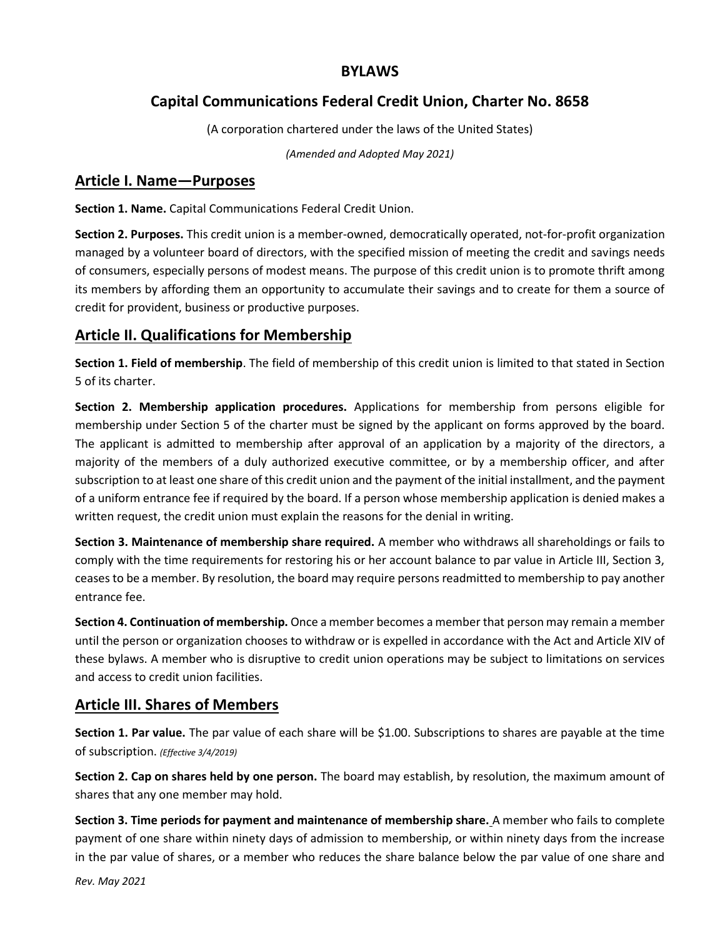### **BYLAWS**

# **Capital Communications Federal Credit Union, Charter No. 8658**

(A corporation chartered under the laws of the United States)

*(Amended and Adopted May 2021)*

### **Article I. Name—Purposes**

**Section 1. Name.** Capital Communications Federal Credit Union.

**Section 2. Purposes.** This credit union is a member-owned, democratically operated, not-for-profit organization managed by a volunteer board of directors, with the specified mission of meeting the credit and savings needs of consumers, especially persons of modest means. The purpose of this credit union is to promote thrift among its members by affording them an opportunity to accumulate their savings and to create for them a source of credit for provident, business or productive purposes.

# **Article II. Qualifications for Membership**

**Section 1. Field of membership**. The field of membership of this credit union is limited to that stated in Section 5 of its charter.

**Section 2. Membership application procedures.** Applications for membership from persons eligible for membership under Section 5 of the charter must be signed by the applicant on forms approved by the board. The applicant is admitted to membership after approval of an application by a majority of the directors, a majority of the members of a duly authorized executive committee, or by a membership officer, and after subscription to at least one share of this credit union and the payment of the initial installment, and the payment of a uniform entrance fee if required by the board. If a person whose membership application is denied makes a written request, the credit union must explain the reasons for the denial in writing.

**Section 3. Maintenance of membership share required.** A member who withdraws all shareholdings or fails to comply with the time requirements for restoring his or her account balance to par value in Article III, Section 3, ceases to be a member. By resolution, the board may require persons readmitted to membership to pay another entrance fee.

**Section 4. Continuation of membership.** Once a member becomes a member that person may remain a member until the person or organization chooses to withdraw or is expelled in accordance with the Act and Article XIV of these bylaws. A member who is disruptive to credit union operations may be subject to limitations on services and access to credit union facilities.

## **Article III. Shares of Members**

**Section 1. Par value.** The par value of each share will be \$1.00. Subscriptions to shares are payable at the time of subscription. *(Effective 3/4/2019)*

**Section 2. Cap on shares held by one person.** The board may establish, by resolution, the maximum amount of shares that any one member may hold.

**Section 3. Time periods for payment and maintenance of membership share.** A member who fails to complete payment of one share within ninety days of admission to membership, or within ninety days from the increase in the par value of shares, or a member who reduces the share balance below the par value of one share and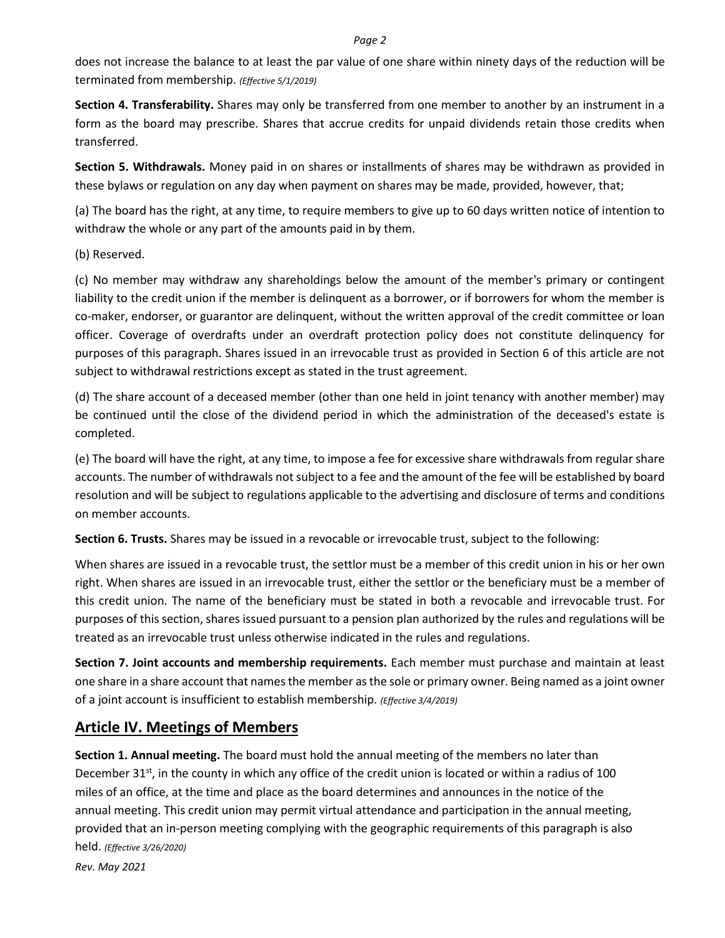does not increase the balance to at least the par value of one share within ninety days of the reduction will be terminated from membership. *(Effective 5/1/2019)*

**Section 4. Transferability.** Shares may only be transferred from one member to another by an instrument in a form as the board may prescribe. Shares that accrue credits for unpaid dividends retain those credits when transferred.

**Section 5. Withdrawals.** Money paid in on shares or installments of shares may be withdrawn as provided in these bylaws or regulation on any day when payment on shares may be made, provided, however, that;

(a) The board has the right, at any time, to require members to give up to 60 days written notice of intention to withdraw the whole or any part of the amounts paid in by them.

(b) Reserved.

(c) No member may withdraw any shareholdings below the amount of the member's primary or contingent liability to the credit union if the member is delinquent as a borrower, or if borrowers for whom the member is co-maker, endorser, or guarantor are delinquent, without the written approval of the credit committee or loan officer. Coverage of overdrafts under an overdraft protection policy does not constitute delinquency for purposes of this paragraph. Shares issued in an irrevocable trust as provided in Section 6 of this article are not subject to withdrawal restrictions except as stated in the trust agreement.

(d) The share account of a deceased member (other than one held in joint tenancy with another member) may be continued until the close of the dividend period in which the administration of the deceased's estate is completed.

(e) The board will have the right, at any time, to impose a fee for excessive share withdrawals from regular share accounts. The number of withdrawals not subject to a fee and the amount of the fee will be established by board resolution and will be subject to regulations applicable to the advertising and disclosure of terms and conditions on member accounts.

**Section 6. Trusts.** Shares may be issued in a revocable or irrevocable trust, subject to the following:

When shares are issued in a revocable trust, the settlor must be a member of this credit union in his or her own right. When shares are issued in an irrevocable trust, either the settlor or the beneficiary must be a member of this credit union. The name of the beneficiary must be stated in both a revocable and irrevocable trust. For purposes of this section, shares issued pursuant to a pension plan authorized by the rules and regulations will be treated as an irrevocable trust unless otherwise indicated in the rules and regulations.

**Section 7. Joint accounts and membership requirements.** Each member must purchase and maintain at least one share in a share account that names the member as the sole or primary owner. Being named as a joint owner of a joint account is insufficient to establish membership. *(Effective 3/4/2019)*

## **Article IV. Meetings of Members**

**Section 1. Annual meeting.** The board must hold the annual meeting of the members no later than December 31<sup>st</sup>, in the county in which any office of the credit union is located or within a radius of 100 miles of an office, at the time and place as the board determines and announces in the notice of the annual meeting. This credit union may permit virtual attendance and participation in the annual meeting, provided that an in-person meeting complying with the geographic requirements of this paragraph is also held. *(Effective 3/26/2020)*

*Rev. May 2021*

#### *Page 2*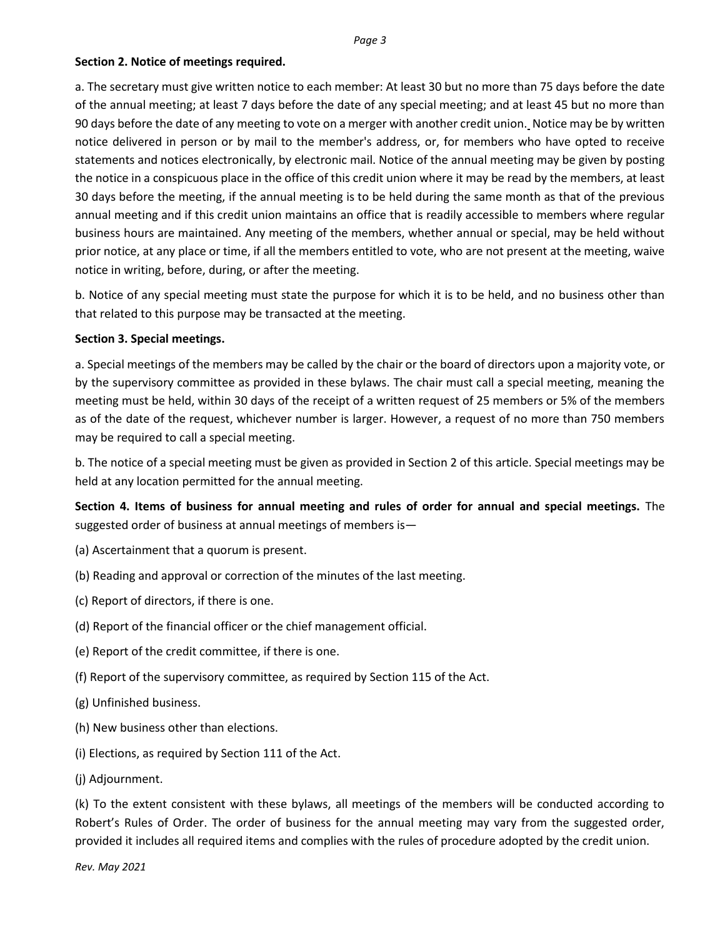### **Section 2. Notice of meetings required.**

a. The secretary must give written notice to each member: At least 30 but no more than 75 days before the date of the annual meeting; at least 7 days before the date of any special meeting; and at least 45 but no more than 90 days before the date of any meeting to vote on a merger with another credit union. Notice may be by written notice delivered in person or by mail to the member's address, or, for members who have opted to receive statements and notices electronically, by electronic mail. Notice of the annual meeting may be given by posting the notice in a conspicuous place in the office of this credit union where it may be read by the members, at least 30 days before the meeting, if the annual meeting is to be held during the same month as that of the previous annual meeting and if this credit union maintains an office that is readily accessible to members where regular business hours are maintained. Any meeting of the members, whether annual or special, may be held without prior notice, at any place or time, if all the members entitled to vote, who are not present at the meeting, waive notice in writing, before, during, or after the meeting.

b. Notice of any special meeting must state the purpose for which it is to be held, and no business other than that related to this purpose may be transacted at the meeting.

### **Section 3. Special meetings.**

a. Special meetings of the members may be called by the chair or the board of directors upon a majority vote, or by the supervisory committee as provided in these bylaws. The chair must call a special meeting, meaning the meeting must be held, within 30 days of the receipt of a written request of 25 members or 5% of the members as of the date of the request, whichever number is larger. However, a request of no more than 750 members may be required to call a special meeting.

b. The notice of a special meeting must be given as provided in Section 2 of this article. Special meetings may be held at any location permitted for the annual meeting.

**Section 4. Items of business for annual meeting and rules of order for annual and special meetings.** The suggested order of business at annual meetings of members is—

- (a) Ascertainment that a quorum is present.
- (b) Reading and approval or correction of the minutes of the last meeting.
- (c) Report of directors, if there is one.
- (d) Report of the financial officer or the chief management official.
- (e) Report of the credit committee, if there is one.
- (f) Report of the supervisory committee, as required by Section 115 of the Act.
- (g) Unfinished business.
- (h) New business other than elections.
- (i) Elections, as required by Section 111 of the Act.
- (j) Adjournment.

(k) To the extent consistent with these bylaws, all meetings of the members will be conducted according to Robert's Rules of Order. The order of business for the annual meeting may vary from the suggested order, provided it includes all required items and complies with the rules of procedure adopted by the credit union.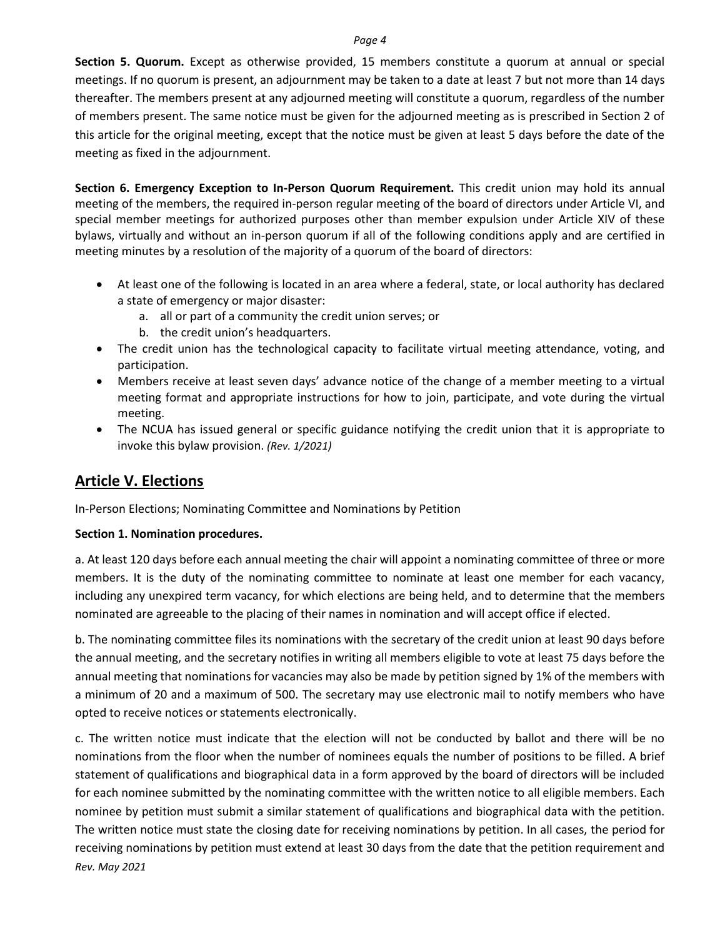**Section 5. Quorum.** Except as otherwise provided, 15 members constitute a quorum at annual or special meetings. If no quorum is present, an adjournment may be taken to a date at least 7 but not more than 14 days thereafter. The members present at any adjourned meeting will constitute a quorum, regardless of the number of members present. The same notice must be given for the adjourned meeting as is prescribed in Section 2 of this article for the original meeting, except that the notice must be given at least 5 days before the date of the meeting as fixed in the adjournment.

**Section 6. Emergency Exception to In-Person Quorum Requirement.** This credit union may hold its annual meeting of the members, the required in-person regular meeting of the board of directors under Article VI, and special member meetings for authorized purposes other than member expulsion under Article XIV of these bylaws, virtually and without an in-person quorum if all of the following conditions apply and are certified in meeting minutes by a resolution of the majority of a quorum of the board of directors:

- At least one of the following is located in an area where a federal, state, or local authority has declared a state of emergency or major disaster:
	- a. all or part of a community the credit union serves; or
	- b. the credit union's headquarters.
- The credit union has the technological capacity to facilitate virtual meeting attendance, voting, and participation.
- Members receive at least seven days' advance notice of the change of a member meeting to a virtual meeting format and appropriate instructions for how to join, participate, and vote during the virtual meeting.
- The NCUA has issued general or specific guidance notifying the credit union that it is appropriate to invoke this bylaw provision. *(Rev. 1/2021)*

## **Article V. Elections**

In-Person Elections; Nominating Committee and Nominations by Petition

### **Section 1. Nomination procedures.**

a. At least 120 days before each annual meeting the chair will appoint a nominating committee of three or more members. It is the duty of the nominating committee to nominate at least one member for each vacancy, including any unexpired term vacancy, for which elections are being held, and to determine that the members nominated are agreeable to the placing of their names in nomination and will accept office if elected.

b. The nominating committee files its nominations with the secretary of the credit union at least 90 days before the annual meeting, and the secretary notifies in writing all members eligible to vote at least 75 days before the annual meeting that nominations for vacancies may also be made by petition signed by 1% of the members with a minimum of 20 and a maximum of 500. The secretary may use electronic mail to notify members who have opted to receive notices or statements electronically.

*Rev. May 2021* c. The written notice must indicate that the election will not be conducted by ballot and there will be no nominations from the floor when the number of nominees equals the number of positions to be filled. A brief statement of qualifications and biographical data in a form approved by the board of directors will be included for each nominee submitted by the nominating committee with the written notice to all eligible members. Each nominee by petition must submit a similar statement of qualifications and biographical data with the petition. The written notice must state the closing date for receiving nominations by petition. In all cases, the period for receiving nominations by petition must extend at least 30 days from the date that the petition requirement and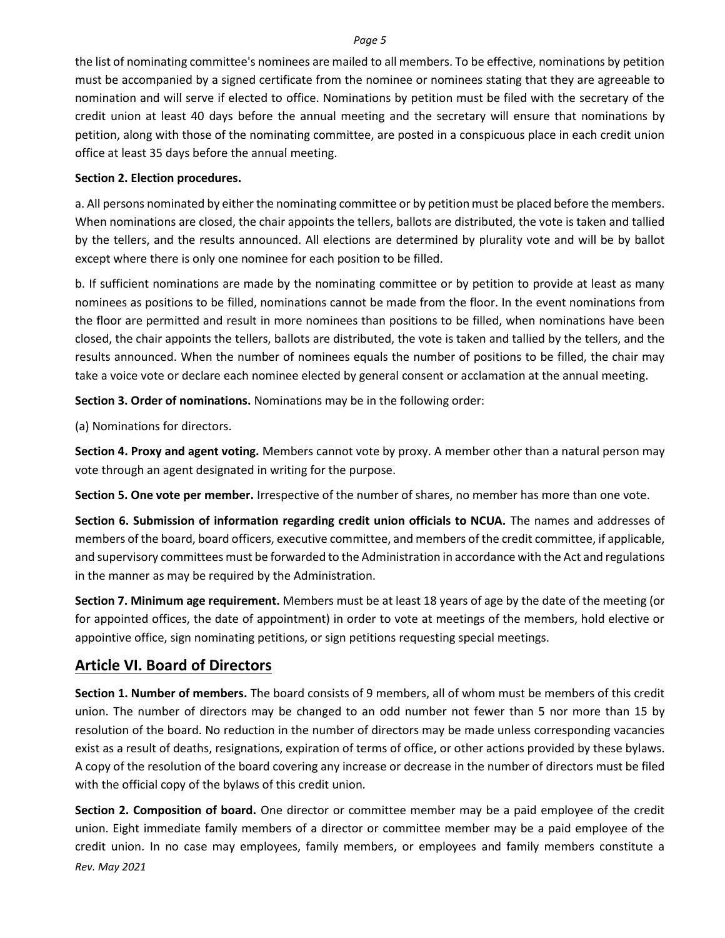the list of nominating committee's nominees are mailed to all members. To be effective, nominations by petition must be accompanied by a signed certificate from the nominee or nominees stating that they are agreeable to nomination and will serve if elected to office. Nominations by petition must be filed with the secretary of the credit union at least 40 days before the annual meeting and the secretary will ensure that nominations by petition, along with those of the nominating committee, are posted in a conspicuous place in each credit union office at least 35 days before the annual meeting.

### **Section 2. Election procedures.**

a. All persons nominated by either the nominating committee or by petition must be placed before the members. When nominations are closed, the chair appoints the tellers, ballots are distributed, the vote is taken and tallied by the tellers, and the results announced. All elections are determined by plurality vote and will be by ballot except where there is only one nominee for each position to be filled.

b. If sufficient nominations are made by the nominating committee or by petition to provide at least as many nominees as positions to be filled, nominations cannot be made from the floor. In the event nominations from the floor are permitted and result in more nominees than positions to be filled, when nominations have been closed, the chair appoints the tellers, ballots are distributed, the vote is taken and tallied by the tellers, and the results announced. When the number of nominees equals the number of positions to be filled, the chair may take a voice vote or declare each nominee elected by general consent or acclamation at the annual meeting.

**Section 3. Order of nominations.** Nominations may be in the following order:

(a) Nominations for directors.

**Section 4. Proxy and agent voting.** Members cannot vote by proxy. A member other than a natural person may vote through an agent designated in writing for the purpose.

**Section 5. One vote per member.** Irrespective of the number of shares, no member has more than one vote.

**Section 6. Submission of information regarding credit union officials to NCUA.** The names and addresses of members of the board, board officers, executive committee, and members of the credit committee, if applicable, and supervisory committees must be forwarded to the Administration in accordance with the Act and regulations in the manner as may be required by the Administration.

**Section 7. Minimum age requirement.** Members must be at least 18 years of age by the date of the meeting (or for appointed offices, the date of appointment) in order to vote at meetings of the members, hold elective or appointive office, sign nominating petitions, or sign petitions requesting special meetings.

### **Article VI. Board of Directors**

**Section 1. Number of members.** The board consists of 9 members, all of whom must be members of this credit union. The number of directors may be changed to an odd number not fewer than 5 nor more than 15 by resolution of the board. No reduction in the number of directors may be made unless corresponding vacancies exist as a result of deaths, resignations, expiration of terms of office, or other actions provided by these bylaws. A copy of the resolution of the board covering any increase or decrease in the number of directors must be filed with the official copy of the bylaws of this credit union.

*Rev. May 2021* **Section 2. Composition of board.** One director or committee member may be a paid employee of the credit union. Eight immediate family members of a director or committee member may be a paid employee of the credit union. In no case may employees, family members, or employees and family members constitute a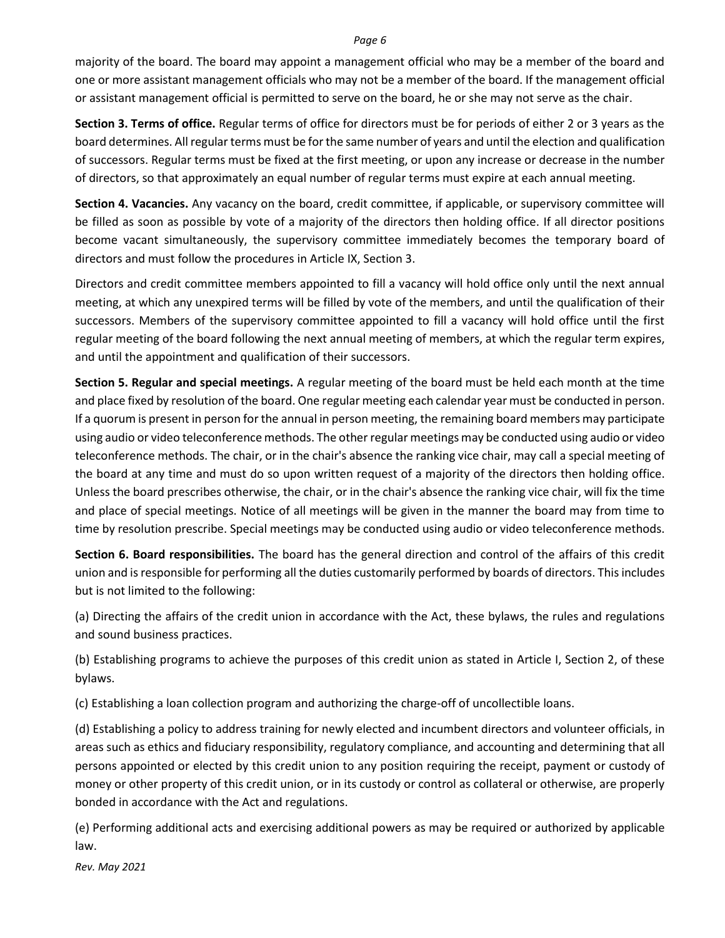majority of the board. The board may appoint a management official who may be a member of the board and one or more assistant management officials who may not be a member of the board. If the management official or assistant management official is permitted to serve on the board, he or she may not serve as the chair.

**Section 3. Terms of office.** Regular terms of office for directors must be for periods of either 2 or 3 years as the board determines. All regular terms must be for the same number of years and until the election and qualification of successors. Regular terms must be fixed at the first meeting, or upon any increase or decrease in the number of directors, so that approximately an equal number of regular terms must expire at each annual meeting.

**Section 4. Vacancies.** Any vacancy on the board, credit committee, if applicable, or supervisory committee will be filled as soon as possible by vote of a majority of the directors then holding office. If all director positions become vacant simultaneously, the supervisory committee immediately becomes the temporary board of directors and must follow the procedures in Article IX, Section 3.

Directors and credit committee members appointed to fill a vacancy will hold office only until the next annual meeting, at which any unexpired terms will be filled by vote of the members, and until the qualification of their successors. Members of the supervisory committee appointed to fill a vacancy will hold office until the first regular meeting of the board following the next annual meeting of members, at which the regular term expires, and until the appointment and qualification of their successors.

**Section 5. Regular and special meetings.** A regular meeting of the board must be held each month at the time and place fixed by resolution of the board. One regular meeting each calendar year must be conducted in person. If a quorum is present in person for the annual in person meeting, the remaining board members may participate using audio or video teleconference methods. The other regular meetings may be conducted using audio or video teleconference methods. The chair, or in the chair's absence the ranking vice chair, may call a special meeting of the board at any time and must do so upon written request of a majority of the directors then holding office. Unless the board prescribes otherwise, the chair, or in the chair's absence the ranking vice chair, will fix the time and place of special meetings. Notice of all meetings will be given in the manner the board may from time to time by resolution prescribe. Special meetings may be conducted using audio or video teleconference methods.

**Section 6. Board responsibilities.** The board has the general direction and control of the affairs of this credit union and is responsible for performing all the duties customarily performed by boards of directors. This includes but is not limited to the following:

(a) Directing the affairs of the credit union in accordance with the Act, these bylaws, the rules and regulations and sound business practices.

(b) Establishing programs to achieve the purposes of this credit union as stated in Article I, Section 2, of these bylaws.

(c) Establishing a loan collection program and authorizing the charge-off of uncollectible loans.

(d) Establishing a policy to address training for newly elected and incumbent directors and volunteer officials, in areas such as ethics and fiduciary responsibility, regulatory compliance, and accounting and determining that all persons appointed or elected by this credit union to any position requiring the receipt, payment or custody of money or other property of this credit union, or in its custody or control as collateral or otherwise, are properly bonded in accordance with the Act and regulations.

(e) Performing additional acts and exercising additional powers as may be required or authorized by applicable law.

*Rev. May 2021*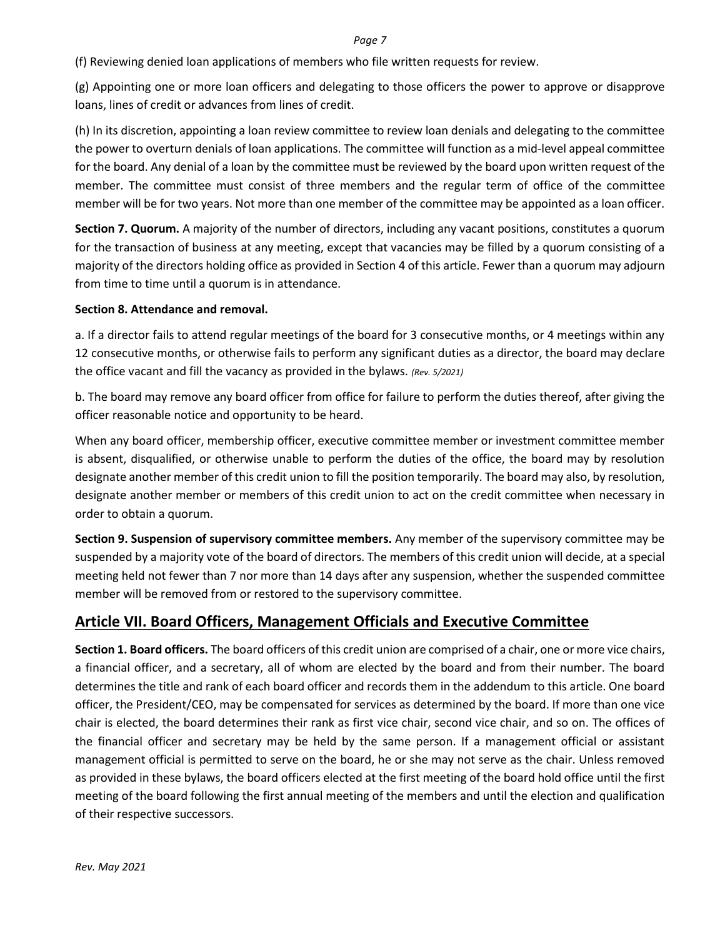(f) Reviewing denied loan applications of members who file written requests for review.

(g) Appointing one or more loan officers and delegating to those officers the power to approve or disapprove loans, lines of credit or advances from lines of credit.

(h) In its discretion, appointing a loan review committee to review loan denials and delegating to the committee the power to overturn denials of loan applications. The committee will function as a mid-level appeal committee for the board. Any denial of a loan by the committee must be reviewed by the board upon written request of the member. The committee must consist of three members and the regular term of office of the committee member will be for two years. Not more than one member of the committee may be appointed as a loan officer.

**Section 7. Quorum.** A majority of the number of directors, including any vacant positions, constitutes a quorum for the transaction of business at any meeting, except that vacancies may be filled by a quorum consisting of a majority of the directors holding office as provided in Section 4 of this article. Fewer than a quorum may adjourn from time to time until a quorum is in attendance.

### **Section 8. Attendance and removal.**

a. If a director fails to attend regular meetings of the board for 3 consecutive months, or 4 meetings within any 12 consecutive months, or otherwise fails to perform any significant duties as a director, the board may declare the office vacant and fill the vacancy as provided in the bylaws. *(Rev. 5/2021)*

b. The board may remove any board officer from office for failure to perform the duties thereof, after giving the officer reasonable notice and opportunity to be heard.

When any board officer, membership officer, executive committee member or investment committee member is absent, disqualified, or otherwise unable to perform the duties of the office, the board may by resolution designate another member of this credit union to fill the position temporarily. The board may also, by resolution, designate another member or members of this credit union to act on the credit committee when necessary in order to obtain a quorum.

**Section 9. Suspension of supervisory committee members.** Any member of the supervisory committee may be suspended by a majority vote of the board of directors. The members of this credit union will decide, at a special meeting held not fewer than 7 nor more than 14 days after any suspension, whether the suspended committee member will be removed from or restored to the supervisory committee.

## **Article VII. Board Officers, Management Officials and Executive Committee**

**Section 1. Board officers.** The board officers of this credit union are comprised of a chair, one or more vice chairs, a financial officer, and a secretary, all of whom are elected by the board and from their number. The board determines the title and rank of each board officer and records them in the addendum to this article. One board officer, the President/CEO, may be compensated for services as determined by the board. If more than one vice chair is elected, the board determines their rank as first vice chair, second vice chair, and so on. The offices of the financial officer and secretary may be held by the same person. If a management official or assistant management official is permitted to serve on the board, he or she may not serve as the chair. Unless removed as provided in these bylaws, the board officers elected at the first meeting of the board hold office until the first meeting of the board following the first annual meeting of the members and until the election and qualification of their respective successors.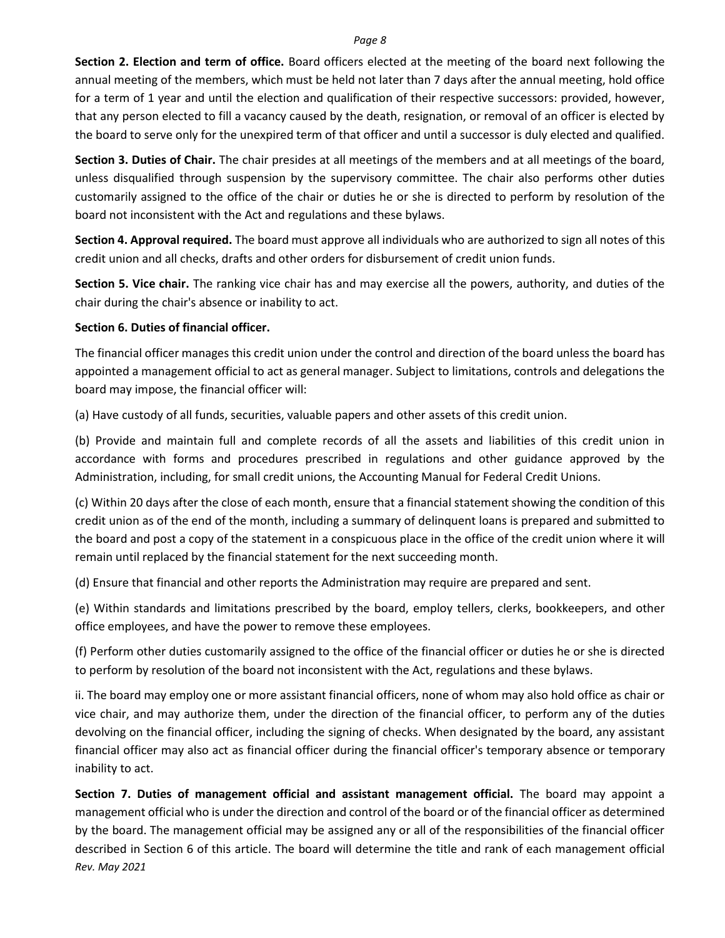**Section 2. Election and term of office.** Board officers elected at the meeting of the board next following the annual meeting of the members, which must be held not later than 7 days after the annual meeting, hold office for a term of 1 year and until the election and qualification of their respective successors: provided, however, that any person elected to fill a vacancy caused by the death, resignation, or removal of an officer is elected by the board to serve only for the unexpired term of that officer and until a successor is duly elected and qualified.

**Section 3. Duties of Chair.** The chair presides at all meetings of the members and at all meetings of the board, unless disqualified through suspension by the supervisory committee. The chair also performs other duties customarily assigned to the office of the chair or duties he or she is directed to perform by resolution of the board not inconsistent with the Act and regulations and these bylaws.

**Section 4. Approval required.** The board must approve all individuals who are authorized to sign all notes of this credit union and all checks, drafts and other orders for disbursement of credit union funds.

**Section 5. Vice chair.** The ranking vice chair has and may exercise all the powers, authority, and duties of the chair during the chair's absence or inability to act.

### **Section 6. Duties of financial officer.**

The financial officer manages this credit union under the control and direction of the board unless the board has appointed a management official to act as general manager. Subject to limitations, controls and delegations the board may impose, the financial officer will:

(a) Have custody of all funds, securities, valuable papers and other assets of this credit union.

(b) Provide and maintain full and complete records of all the assets and liabilities of this credit union in accordance with forms and procedures prescribed in regulations and other guidance approved by the Administration, including, for small credit unions, the Accounting Manual for Federal Credit Unions.

(c) Within 20 days after the close of each month, ensure that a financial statement showing the condition of this credit union as of the end of the month, including a summary of delinquent loans is prepared and submitted to the board and post a copy of the statement in a conspicuous place in the office of the credit union where it will remain until replaced by the financial statement for the next succeeding month.

(d) Ensure that financial and other reports the Administration may require are prepared and sent.

(e) Within standards and limitations prescribed by the board, employ tellers, clerks, bookkeepers, and other office employees, and have the power to remove these employees.

(f) Perform other duties customarily assigned to the office of the financial officer or duties he or she is directed to perform by resolution of the board not inconsistent with the Act, regulations and these bylaws.

ii. The board may employ one or more assistant financial officers, none of whom may also hold office as chair or vice chair, and may authorize them, under the direction of the financial officer, to perform any of the duties devolving on the financial officer, including the signing of checks. When designated by the board, any assistant financial officer may also act as financial officer during the financial officer's temporary absence or temporary inability to act.

*Rev. May 2021* **Section 7. Duties of management official and assistant management official.** The board may appoint a management official who is under the direction and control of the board or of the financial officer as determined by the board. The management official may be assigned any or all of the responsibilities of the financial officer described in Section 6 of this article. The board will determine the title and rank of each management official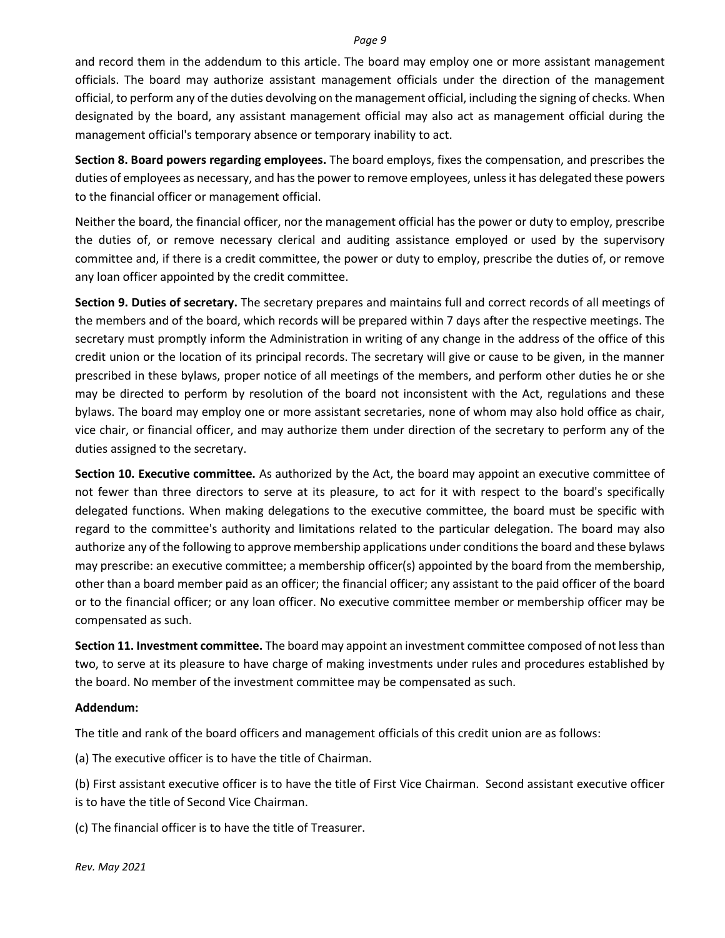and record them in the addendum to this article. The board may employ one or more assistant management officials. The board may authorize assistant management officials under the direction of the management official, to perform any of the duties devolving on the management official, including the signing of checks. When designated by the board, any assistant management official may also act as management official during the management official's temporary absence or temporary inability to act.

**Section 8. Board powers regarding employees.** The board employs, fixes the compensation, and prescribes the duties of employees as necessary, and has the power to remove employees, unless it has delegated these powers to the financial officer or management official.

Neither the board, the financial officer, nor the management official has the power or duty to employ, prescribe the duties of, or remove necessary clerical and auditing assistance employed or used by the supervisory committee and, if there is a credit committee, the power or duty to employ, prescribe the duties of, or remove any loan officer appointed by the credit committee.

**Section 9. Duties of secretary.** The secretary prepares and maintains full and correct records of all meetings of the members and of the board, which records will be prepared within 7 days after the respective meetings. The secretary must promptly inform the Administration in writing of any change in the address of the office of this credit union or the location of its principal records. The secretary will give or cause to be given, in the manner prescribed in these bylaws, proper notice of all meetings of the members, and perform other duties he or she may be directed to perform by resolution of the board not inconsistent with the Act, regulations and these bylaws. The board may employ one or more assistant secretaries, none of whom may also hold office as chair, vice chair, or financial officer, and may authorize them under direction of the secretary to perform any of the duties assigned to the secretary.

**Section 10. Executive committee.** As authorized by the Act, the board may appoint an executive committee of not fewer than three directors to serve at its pleasure, to act for it with respect to the board's specifically delegated functions. When making delegations to the executive committee, the board must be specific with regard to the committee's authority and limitations related to the particular delegation. The board may also authorize any of the following to approve membership applications under conditions the board and these bylaws may prescribe: an executive committee; a membership officer(s) appointed by the board from the membership, other than a board member paid as an officer; the financial officer; any assistant to the paid officer of the board or to the financial officer; or any loan officer. No executive committee member or membership officer may be compensated as such.

**Section 11. Investment committee.** The board may appoint an investment committee composed of not less than two, to serve at its pleasure to have charge of making investments under rules and procedures established by the board. No member of the investment committee may be compensated as such.

#### **Addendum:**

The title and rank of the board officers and management officials of this credit union are as follows:

(a) The executive officer is to have the title of Chairman.

(b) First assistant executive officer is to have the title of First Vice Chairman. Second assistant executive officer is to have the title of Second Vice Chairman.

(c) The financial officer is to have the title of Treasurer.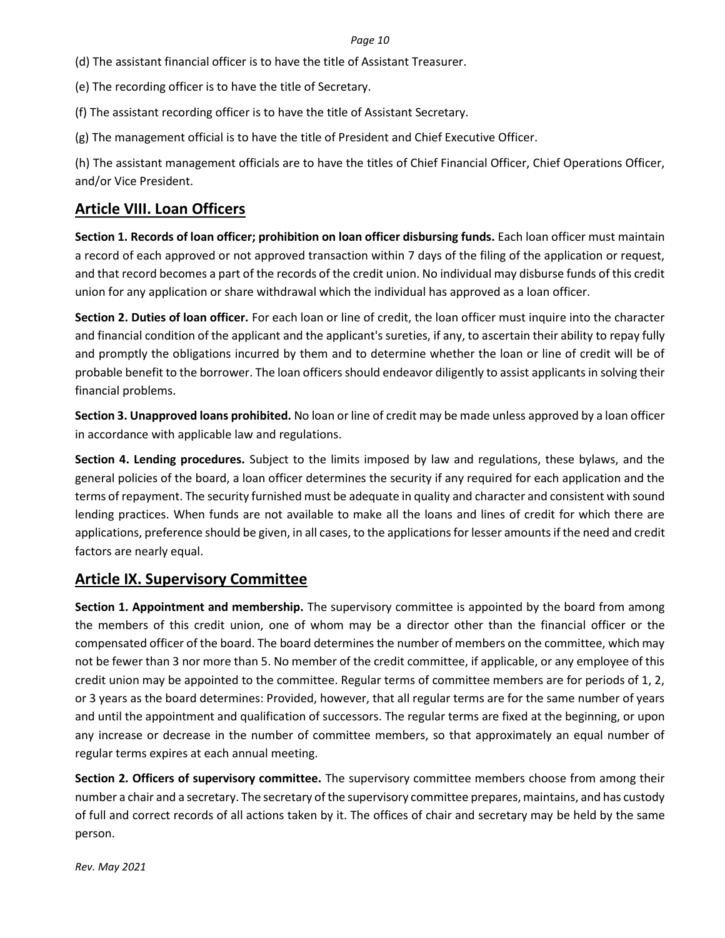(d) The assistant financial officer is to have the title of Assistant Treasurer.

(e) The recording officer is to have the title of Secretary.

(f) The assistant recording officer is to have the title of Assistant Secretary.

(g) The management official is to have the title of President and Chief Executive Officer.

(h) The assistant management officials are to have the titles of Chief Financial Officer, Chief Operations Officer, and/or Vice President.

### **Article VIII. Loan Officers**

**Section 1. Records of loan officer; prohibition on loan officer disbursing funds.** Each loan officer must maintain a record of each approved or not approved transaction within 7 days of the filing of the application or request, and that record becomes a part of the records of the credit union. No individual may disburse funds of this credit union for any application or share withdrawal which the individual has approved as a loan officer.

**Section 2. Duties of loan officer.** For each loan or line of credit, the loan officer must inquire into the character and financial condition of the applicant and the applicant's sureties, if any, to ascertain their ability to repay fully and promptly the obligations incurred by them and to determine whether the loan or line of credit will be of probable benefit to the borrower. The loan officers should endeavor diligently to assist applicants in solving their financial problems.

**Section 3. Unapproved loans prohibited.** No loan or line of credit may be made unless approved by a loan officer in accordance with applicable law and regulations.

**Section 4. Lending procedures.** Subject to the limits imposed by law and regulations, these bylaws, and the general policies of the board, a loan officer determines the security if any required for each application and the terms of repayment. The security furnished must be adequate in quality and character and consistent with sound lending practices. When funds are not available to make all the loans and lines of credit for which there are applications, preference should be given, in all cases, to the applications for lesser amounts if the need and credit factors are nearly equal.

## **Article IX. Supervisory Committee**

**Section 1. Appointment and membership.** The supervisory committee is appointed by the board from among the members of this credit union, one of whom may be a director other than the financial officer or the compensated officer of the board. The board determines the number of members on the committee, which may not be fewer than 3 nor more than 5. No member of the credit committee, if applicable, or any employee of this credit union may be appointed to the committee. Regular terms of committee members are for periods of 1, 2, or 3 years as the board determines: Provided, however, that all regular terms are for the same number of years and until the appointment and qualification of successors. The regular terms are fixed at the beginning, or upon any increase or decrease in the number of committee members, so that approximately an equal number of regular terms expires at each annual meeting.

**Section 2. Officers of supervisory committee.** The supervisory committee members choose from among their number a chair and a secretary. The secretary of the supervisory committee prepares, maintains, and has custody of full and correct records of all actions taken by it. The offices of chair and secretary may be held by the same person.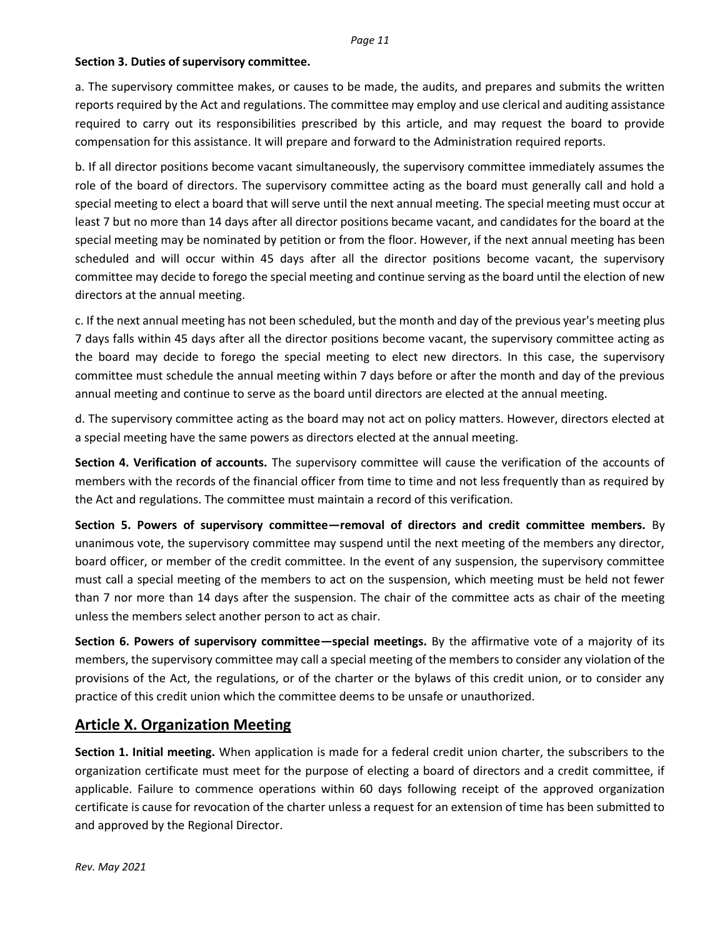### **Section 3. Duties of supervisory committee.**

a. The supervisory committee makes, or causes to be made, the audits, and prepares and submits the written reports required by the Act and regulations. The committee may employ and use clerical and auditing assistance required to carry out its responsibilities prescribed by this article, and may request the board to provide compensation for this assistance. It will prepare and forward to the Administration required reports.

b. If all director positions become vacant simultaneously, the supervisory committee immediately assumes the role of the board of directors. The supervisory committee acting as the board must generally call and hold a special meeting to elect a board that will serve until the next annual meeting. The special meeting must occur at least 7 but no more than 14 days after all director positions became vacant, and candidates for the board at the special meeting may be nominated by petition or from the floor. However, if the next annual meeting has been scheduled and will occur within 45 days after all the director positions become vacant, the supervisory committee may decide to forego the special meeting and continue serving as the board until the election of new directors at the annual meeting.

c. If the next annual meeting has not been scheduled, but the month and day of the previous year's meeting plus 7 days falls within 45 days after all the director positions become vacant, the supervisory committee acting as the board may decide to forego the special meeting to elect new directors. In this case, the supervisory committee must schedule the annual meeting within 7 days before or after the month and day of the previous annual meeting and continue to serve as the board until directors are elected at the annual meeting.

d. The supervisory committee acting as the board may not act on policy matters. However, directors elected at a special meeting have the same powers as directors elected at the annual meeting.

**Section 4. Verification of accounts.** The supervisory committee will cause the verification of the accounts of members with the records of the financial officer from time to time and not less frequently than as required by the Act and regulations. The committee must maintain a record of this verification.

**Section 5. Powers of supervisory committee—removal of directors and credit committee members.** By unanimous vote, the supervisory committee may suspend until the next meeting of the members any director, board officer, or member of the credit committee. In the event of any suspension, the supervisory committee must call a special meeting of the members to act on the suspension, which meeting must be held not fewer than 7 nor more than 14 days after the suspension. The chair of the committee acts as chair of the meeting unless the members select another person to act as chair.

**Section 6. Powers of supervisory committee—special meetings.** By the affirmative vote of a majority of its members, the supervisory committee may call a special meeting of the members to consider any violation of the provisions of the Act, the regulations, or of the charter or the bylaws of this credit union, or to consider any practice of this credit union which the committee deems to be unsafe or unauthorized.

## **Article X. Organization Meeting**

**Section 1. Initial meeting.** When application is made for a federal credit union charter, the subscribers to the organization certificate must meet for the purpose of electing a board of directors and a credit committee, if applicable. Failure to commence operations within 60 days following receipt of the approved organization certificate is cause for revocation of the charter unless a request for an extension of time has been submitted to and approved by the Regional Director.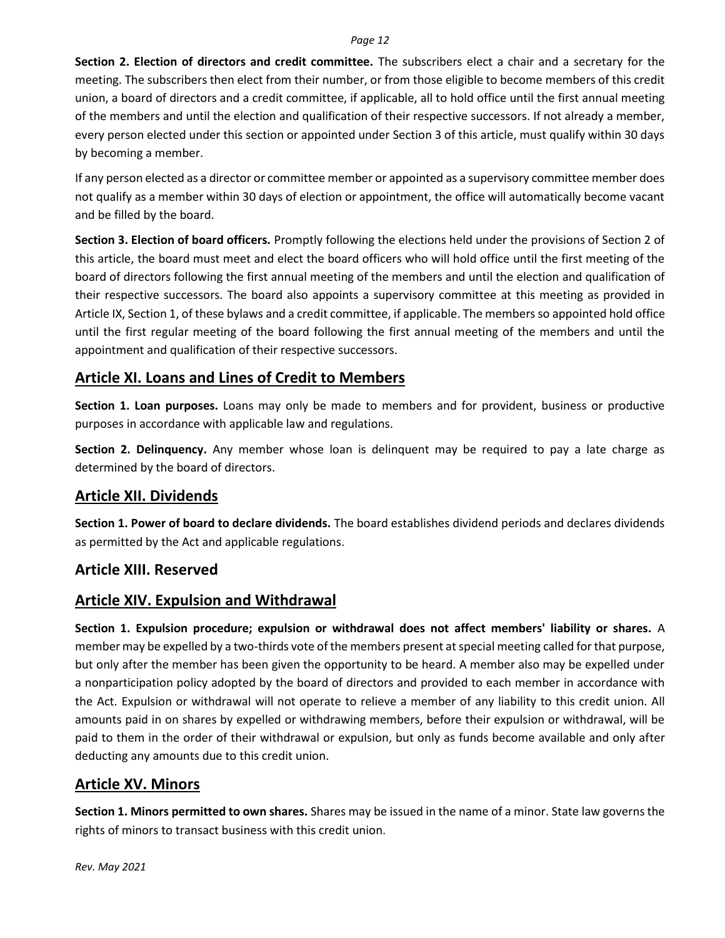**Section 2. Election of directors and credit committee.** The subscribers elect a chair and a secretary for the meeting. The subscribers then elect from their number, or from those eligible to become members of this credit union, a board of directors and a credit committee, if applicable, all to hold office until the first annual meeting of the members and until the election and qualification of their respective successors. If not already a member, every person elected under this section or appointed under Section 3 of this article, must qualify within 30 days by becoming a member.

If any person elected as a director or committee member or appointed as a supervisory committee member does not qualify as a member within 30 days of election or appointment, the office will automatically become vacant and be filled by the board.

**Section 3. Election of board officers.** Promptly following the elections held under the provisions of Section 2 of this article, the board must meet and elect the board officers who will hold office until the first meeting of the board of directors following the first annual meeting of the members and until the election and qualification of their respective successors. The board also appoints a supervisory committee at this meeting as provided in Article IX, Section 1, of these bylaws and a credit committee, if applicable. The members so appointed hold office until the first regular meeting of the board following the first annual meeting of the members and until the appointment and qualification of their respective successors.

### **Article XI. Loans and Lines of Credit to Members**

**Section 1. Loan purposes.** Loans may only be made to members and for provident, business or productive purposes in accordance with applicable law and regulations.

**Section 2. Delinquency.** Any member whose loan is delinquent may be required to pay a late charge as determined by the board of directors.

## **Article XII. Dividends**

**Section 1. Power of board to declare dividends.** The board establishes dividend periods and declares dividends as permitted by the Act and applicable regulations.

## **Article XIII. Reserved**

## **Article XIV. Expulsion and Withdrawal**

**Section 1. Expulsion procedure; expulsion or withdrawal does not affect members' liability or shares.** A member may be expelled by a two-thirds vote of the members present at special meeting called for that purpose, but only after the member has been given the opportunity to be heard. A member also may be expelled under a nonparticipation policy adopted by the board of directors and provided to each member in accordance with the Act. Expulsion or withdrawal will not operate to relieve a member of any liability to this credit union. All amounts paid in on shares by expelled or withdrawing members, before their expulsion or withdrawal, will be paid to them in the order of their withdrawal or expulsion, but only as funds become available and only after deducting any amounts due to this credit union.

## **Article XV. Minors**

**Section 1. Minors permitted to own shares.** Shares may be issued in the name of a minor. State law governs the rights of minors to transact business with this credit union.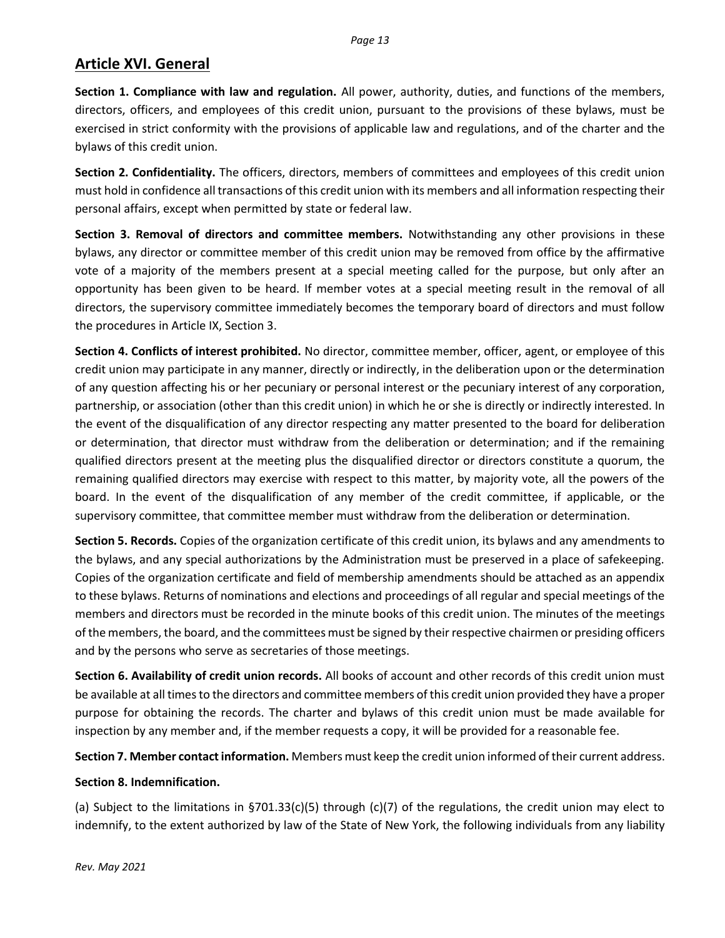# **Article XVI. General**

**Section 1. Compliance with law and regulation.** All power, authority, duties, and functions of the members, directors, officers, and employees of this credit union, pursuant to the provisions of these bylaws, must be exercised in strict conformity with the provisions of applicable law and regulations, and of the charter and the bylaws of this credit union.

**Section 2. Confidentiality.** The officers, directors, members of committees and employees of this credit union must hold in confidence all transactions of this credit union with its members and all information respecting their personal affairs, except when permitted by state or federal law.

**Section 3. Removal of directors and committee members.** Notwithstanding any other provisions in these bylaws, any director or committee member of this credit union may be removed from office by the affirmative vote of a majority of the members present at a special meeting called for the purpose, but only after an opportunity has been given to be heard. If member votes at a special meeting result in the removal of all directors, the supervisory committee immediately becomes the temporary board of directors and must follow the procedures in Article IX, Section 3.

**Section 4. Conflicts of interest prohibited.** No director, committee member, officer, agent, or employee of this credit union may participate in any manner, directly or indirectly, in the deliberation upon or the determination of any question affecting his or her pecuniary or personal interest or the pecuniary interest of any corporation, partnership, or association (other than this credit union) in which he or she is directly or indirectly interested. In the event of the disqualification of any director respecting any matter presented to the board for deliberation or determination, that director must withdraw from the deliberation or determination; and if the remaining qualified directors present at the meeting plus the disqualified director or directors constitute a quorum, the remaining qualified directors may exercise with respect to this matter, by majority vote, all the powers of the board. In the event of the disqualification of any member of the credit committee, if applicable, or the supervisory committee, that committee member must withdraw from the deliberation or determination.

**Section 5. Records.** Copies of the organization certificate of this credit union, its bylaws and any amendments to the bylaws, and any special authorizations by the Administration must be preserved in a place of safekeeping. Copies of the organization certificate and field of membership amendments should be attached as an appendix to these bylaws. Returns of nominations and elections and proceedings of all regular and special meetings of the members and directors must be recorded in the minute books of this credit union. The minutes of the meetings of the members, the board, and the committees must be signed by their respective chairmen or presiding officers and by the persons who serve as secretaries of those meetings.

**Section 6. Availability of credit union records.** All books of account and other records of this credit union must be available at all times to the directors and committee members of this credit union provided they have a proper purpose for obtaining the records. The charter and bylaws of this credit union must be made available for inspection by any member and, if the member requests a copy, it will be provided for a reasonable fee.

**Section 7. Member contact information.** Members must keep the credit union informed of their current address.

### **Section 8. Indemnification.**

(a) Subject to the limitations in §701.33(c)(5) through (c)(7) of the regulations, the credit union may elect to indemnify, to the extent authorized by law of the State of New York, the following individuals from any liability